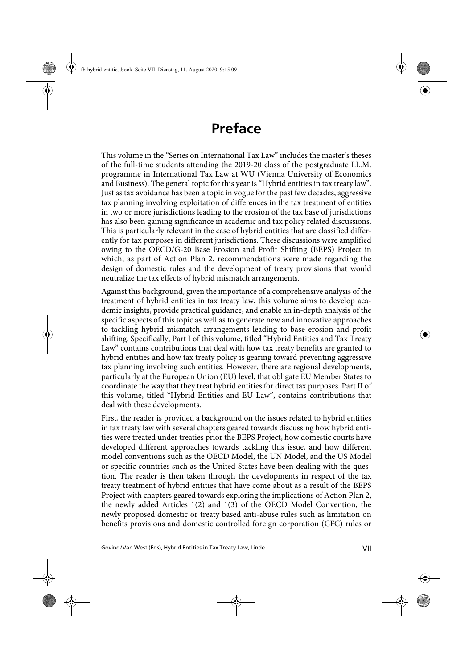## **Preface**

This volume in the "Series on International Tax Law" includes the master's theses of the full-time students attending the 2019-20 class of the postgraduate LL.M. programme in International Tax Law at WU (Vienna University of Economics and Business). The general topic for this year is "Hybrid entities in tax treaty law". Just as tax avoidance has been a topic in vogue for the past few decades, aggressive tax planning involving exploitation of differences in the tax treatment of entities in two or more jurisdictions leading to the erosion of the tax base of jurisdictions has also been gaining significance in academic and tax policy related discussions. This is particularly relevant in the case of hybrid entities that are classified differently for tax purposes in different jurisdictions. These discussions were amplified owing to the OECD/G-20 Base Erosion and Profit Shifting (BEPS) Project in which, as part of Action Plan 2, recommendations were made regarding the design of domestic rules and the development of treaty provisions that would neutralize the tax effects of hybrid mismatch arrangements.

Against this background, given the importance of a comprehensive analysis of the treatment of hybrid entities in tax treaty law, this volume aims to develop academic insights, provide practical guidance, and enable an in-depth analysis of the specific aspects of this topic as well as to generate new and innovative approaches to tackling hybrid mismatch arrangements leading to base erosion and profit shifting. Specifically, Part I of this volume, titled "Hybrid Entities and Tax Treaty Law" contains contributions that deal with how tax treaty benefits are granted to hybrid entities and how tax treaty policy is gearing toward preventing aggressive tax planning involving such entities. However, there are regional developments, particularly at the European Union (EU) level, that obligate EU Member States to coordinate the way that they treat hybrid entities for direct tax purposes. Part II of this volume, titled "Hybrid Entities and EU Law", contains contributions that deal with these developments.

First, the reader is provided a background on the issues related to hybrid entities in tax treaty law with several chapters geared towards discussing how hybrid entities were treated under treaties prior the BEPS Project, how domestic courts have developed different approaches towards tackling this issue, and how different model conventions such as the OECD Model, the UN Model, and the US Model or specific countries such as the United States have been dealing with the question. The reader is then taken through the developments in respect of the tax treaty treatment of hybrid entities that have come about as a result of the BEPS Project with chapters geared towards exploring the implications of Action Plan 2, the newly added Articles 1(2) and 1(3) of the OECD Model Convention, the newly proposed domestic or treaty based anti-abuse rules such as limitation on benefits provisions and domestic controlled foreign corporation (CFC) rules or